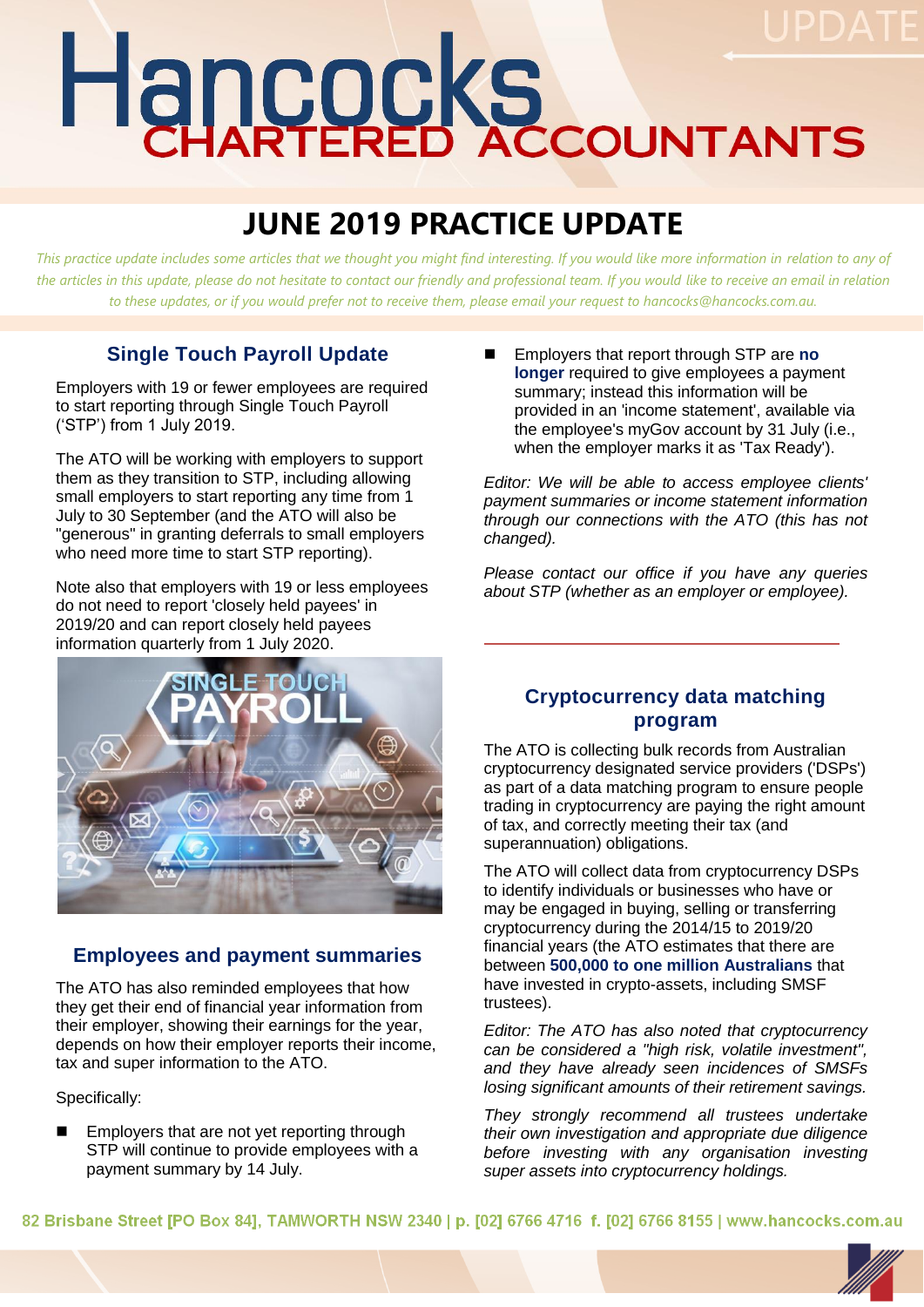# Hancocks

# **JUNE 2019 PRACTICE UPDATE**

*This practice update includes some articles that we thought you might find interesting. If you would like more information in relation to any of*  the articles in this update, please do not hesitate to contact our friendly and professional team. If you would like to receive an email in relation *to these updates, or if you would prefer not to receive them, please email your request to hancocks@hancocks.com.au.* 

# **Single Touch Payroll Update**

Employers with 19 or fewer employees are required to start reporting through Single Touch Payroll ('STP') from 1 July 2019.

The ATO will be working with employers to support them as they transition to STP, including allowing small employers to start reporting any time from 1 July to 30 September (and the ATO will also be "generous" in granting deferrals to small employers who need more time to start STP reporting).

Note also that employers with 19 or less employees do not need to report 'closely held payees' in 2019/20 and can report closely held payees information quarterly from 1 July 2020.



#### **Employees and payment summaries**

The ATO has also reminded employees that how they get their end of financial year information from their employer, showing their earnings for the year, depends on how their employer reports their income, tax and super information to the ATO.

Specifically:

 Employers that are not yet reporting through STP will continue to provide employees with a payment summary by 14 July.

 Employers that report through STP are **no longer** required to give employees a payment summary; instead this information will be provided in an 'income statement', available via the employee's myGov account by 31 July (i.e., when the employer marks it as 'Tax Ready').

*Editor: We will be able to access employee clients' payment summaries or income statement information through our connections with the ATO (this has not changed).*

*Please contact our office if you have any queries about STP (whether as an employer or employee).*

#### **Cryptocurrency data matching program**

The ATO is collecting bulk records from Australian cryptocurrency designated service providers ('DSPs') as part of a data matching program to ensure people trading in cryptocurrency are paying the right amount of tax, and correctly meeting their tax (and superannuation) obligations.

The ATO will collect data from cryptocurrency DSPs to identify individuals or businesses who have or may be engaged in buying, selling or transferring cryptocurrency during the 2014/15 to 2019/20 financial years (the ATO estimates that there are between **500,000 to one million Australians** that have invested in crypto-assets, including SMSF trustees).

*Editor: The ATO has also noted that cryptocurrency can be considered a "high risk, volatile investment", and they have already seen incidences of SMSFs losing significant amounts of their retirement savings.* 

*They strongly recommend all trustees undertake their own investigation and appropriate due diligence before investing with any organisation investing super assets into cryptocurrency holdings.*

82 Brisbane Street [PO Box 84], TAMWORTH NSW 2340 | p. [02] 6766 4716 f. [02] 6766 8155 | www.hancocks.com.au